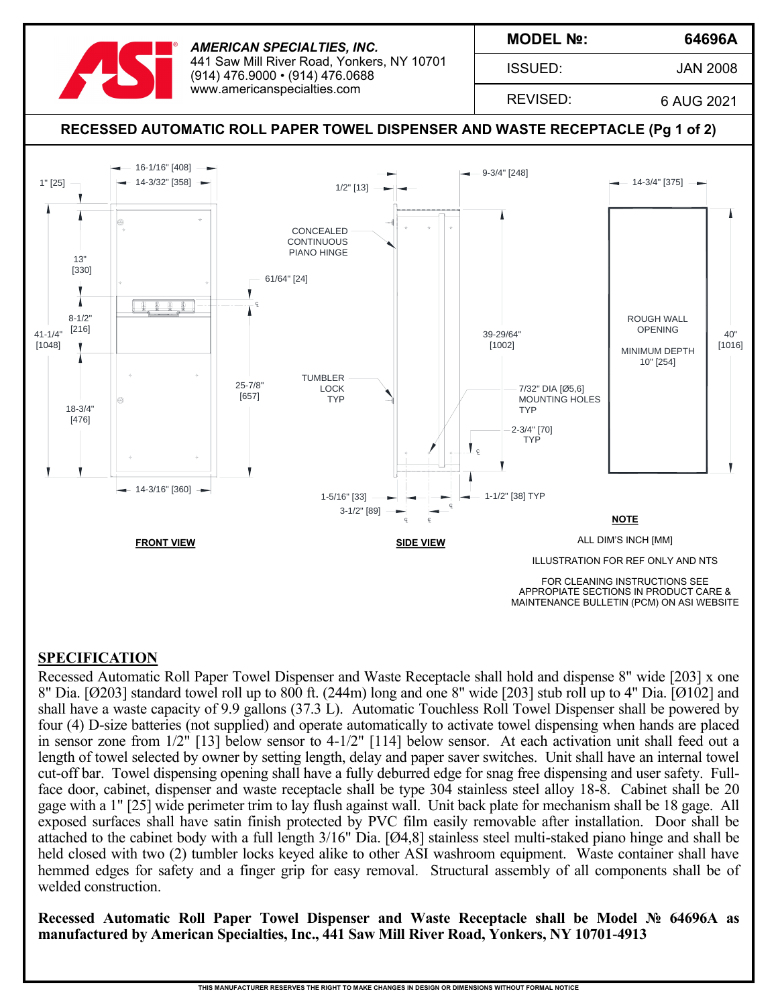

*AMERICAN SPECIALTIES, INC.* 441 Saw Mill River Road, Yonkers, NY 10701 (914) 476.9000 • (914) 476.0688 www.americanspecialties.com

**MODEL №:**

ISSUED:

JAN 2008

**64696A**

REVISED:

6 AUG 2021



#### **SPECIFICATION**

Recessed Automatic Roll Paper Towel Dispenser and Waste Receptacle shall hold and dispense 8" wide [203] x one 8" Dia. [Ø203] standard towel roll up to 800 ft. (244m) long and one 8" wide [203] stub roll up to 4" Dia. [Ø102] and shall have a waste capacity of 9.9 gallons (37.3 L). Automatic Touchless Roll Towel Dispenser shall be powered by four (4) D-size batteries (not supplied) and operate automatically to activate towel dispensing when hands are placed in sensor zone from 1/2" [13] below sensor to 4-1/2" [114] below sensor. At each activation unit shall feed out a length of towel selected by owner by setting length, delay and paper saver switches. Unit shall have an internal towel cut-off bar. Towel dispensing opening shall have a fully deburred edge for snag free dispensing and user safety. Fullface door, cabinet, dispenser and waste receptacle shall be type 304 stainless steel alloy 18-8. Cabinet shall be 20 gage with a 1" [25] wide perimeter trim to lay flush against wall. Unit back plate for mechanism shall be 18 gage. All exposed surfaces shall have satin finish protected by PVC film easily removable after installation. Door shall be attached to the cabinet body with a full length 3/16" Dia. [Ø4,8] stainless steel multi-staked piano hinge and shall be held closed with two (2) tumbler locks keyed alike to other ASI washroom equipment. Waste container shall have hemmed edges for safety and a finger grip for easy removal. Structural assembly of all components shall be of welded construction.

**Recessed Automatic Roll Paper Towel Dispenser and Waste Receptacle shall be Model № 64696A as manufactured by American Specialties, Inc., 441 Saw Mill River Road, Yonkers, NY 10701-4913**